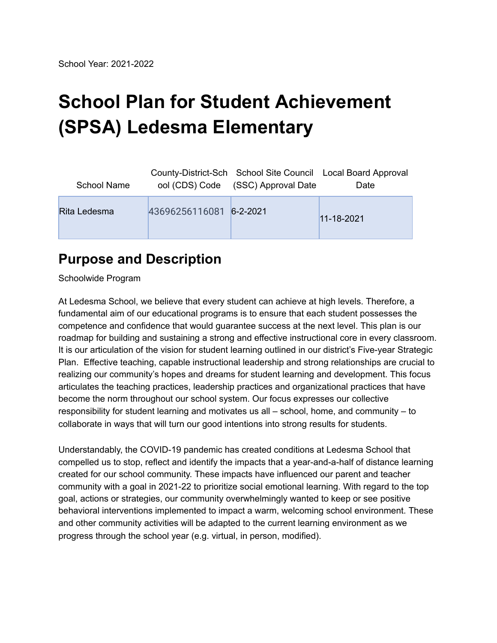# **School Plan for Student Achievement (SPSA) Ledesma Elementary**

| School Name  |                         | ool (CDS) Code (SSC) Approval Date | County-District-Sch School Site Council Local Board Approval<br>Date |
|--------------|-------------------------|------------------------------------|----------------------------------------------------------------------|
| Rita Ledesma | 43696256116081 6-2-2021 |                                    | $11 - 18 - 2021$                                                     |

## **Purpose and Description**

Schoolwide Program

At Ledesma School, we believe that every student can achieve at high levels. Therefore, a fundamental aim of our educational programs is to ensure that each student possesses the competence and confidence that would guarantee success at the next level. This plan is our roadmap for building and sustaining a strong and effective instructional core in every classroom. It is our articulation of the vision for student learning outlined in our district's Five-year Strategic Plan. Effective teaching, capable instructional leadership and strong relationships are crucial to realizing our community's hopes and dreams for student learning and development. This focus articulates the teaching practices, leadership practices and organizational practices that have become the norm throughout our school system. Our focus expresses our collective responsibility for student learning and motivates us all – school, home, and community – to collaborate in ways that will turn our good intentions into strong results for students.

Understandably, the COVID-19 pandemic has created conditions at Ledesma School that compelled us to stop, reflect and identify the impacts that a year-and-a-half of distance learning created for our school community. These impacts have influenced our parent and teacher community with a goal in 2021-22 to prioritize social emotional learning. With regard to the top goal, actions or strategies, our community overwhelmingly wanted to keep or see positive behavioral interventions implemented to impact a warm, welcoming school environment. These and other community activities will be adapted to the current learning environment as we progress through the school year (e.g. virtual, in person, modified).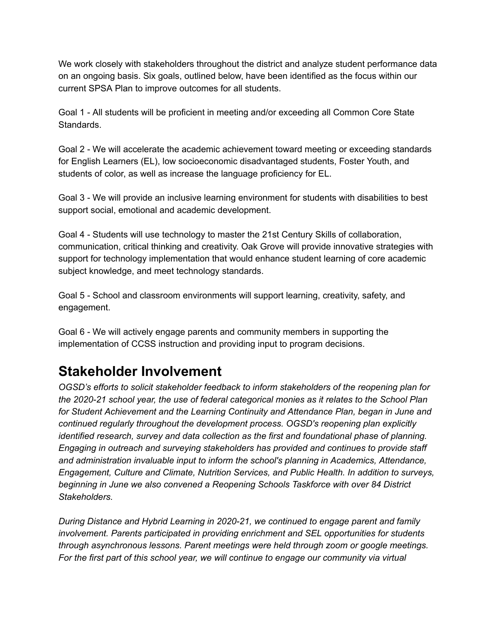We work closely with stakeholders throughout the district and analyze student performance data on an ongoing basis. Six goals, outlined below, have been identified as the focus within our current SPSA Plan to improve outcomes for all students.

Goal 1 - All students will be proficient in meeting and/or exceeding all Common Core State Standards.

Goal 2 - We will accelerate the academic achievement toward meeting or exceeding standards for English Learners (EL), low socioeconomic disadvantaged students, Foster Youth, and students of color, as well as increase the language proficiency for EL.

Goal 3 - We will provide an inclusive learning environment for students with disabilities to best support social, emotional and academic development.

Goal 4 - Students will use technology to master the 21st Century Skills of collaboration, communication, critical thinking and creativity. Oak Grove will provide innovative strategies with support for technology implementation that would enhance student learning of core academic subject knowledge, and meet technology standards.

Goal 5 - School and classroom environments will support learning, creativity, safety, and engagement.

Goal 6 - We will actively engage parents and community members in supporting the implementation of CCSS instruction and providing input to program decisions.

## **Stakeholder Involvement**

*OGSD's efforts to solicit stakeholder feedback to inform stakeholders of the reopening plan for the 2020-21 school year, the use of federal categorical monies as it relates to the School Plan for Student Achievement and the Learning Continuity and Attendance Plan, began in June and continued regularly throughout the development process. OGSD's reopening plan explicitly identified research, survey and data collection as the first and foundational phase of planning. Engaging in outreach and surveying stakeholders has provided and continues to provide staff and administration invaluable input to inform the school's planning in Academics, Attendance, Engagement, Culture and Climate, Nutrition Services, and Public Health. In addition to surveys, beginning in June we also convened a Reopening Schools Taskforce with over 84 District Stakeholders.*

*During Distance and Hybrid Learning in 2020-21, we continued to engage parent and family involvement. Parents participated in providing enrichment and SEL opportunities for students through asynchronous lessons. Parent meetings were held through zoom or google meetings. For the first part of this school year, we will continue to engage our community via virtual*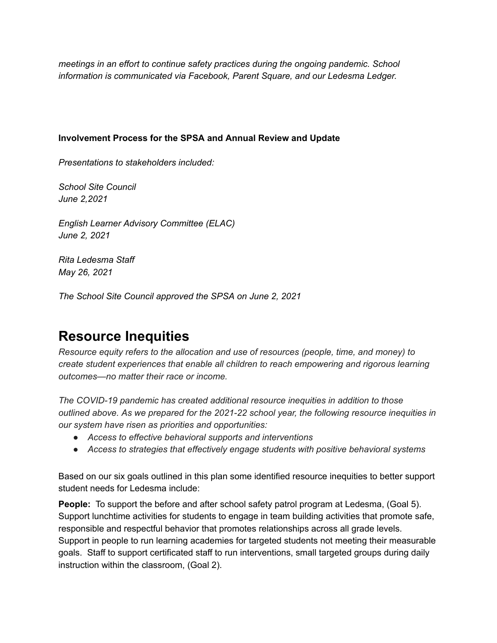*meetings in an effort to continue safety practices during the ongoing pandemic. School information is communicated via Facebook, Parent Square, and our Ledesma Ledger.*

#### **Involvement Process for the SPSA and Annual Review and Update**

*Presentations to stakeholders included:*

*School Site Council June 2,2021*

*English Learner Advisory Committee (ELAC) June 2, 2021*

*Rita Ledesma Staff May 26, 2021*

*The School Site Council approved the SPSA on June 2, 2021*

### **Resource Inequities**

*Resource equity refers to the allocation and use of resources (people, time, and money) to create student experiences that enable all children to reach empowering and rigorous learning outcomes—no matter their race or income.*

*The COVID-19 pandemic has created additional resource inequities in addition to those outlined above. As we prepared for the 2021-22 school year, the following resource inequities in our system have risen as priorities and opportunities:*

- *● Access to effective behavioral supports and interventions*
- *● Access to strategies that effectively engage students with positive behavioral systems*

Based on our six goals outlined in this plan some identified resource inequities to better support student needs for Ledesma include:

**People:** To support the before and after school safety patrol program at Ledesma, (Goal 5). Support lunchtime activities for students to engage in team building activities that promote safe, responsible and respectful behavior that promotes relationships across all grade levels. Support in people to run learning academies for targeted students not meeting their measurable goals. Staff to support certificated staff to run interventions, small targeted groups during daily instruction within the classroom, (Goal 2).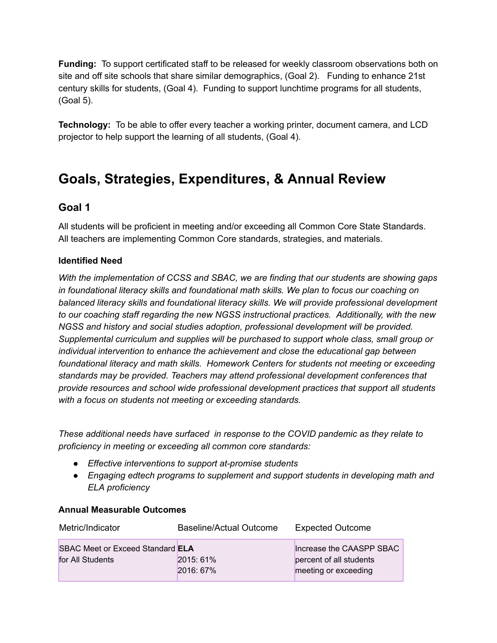**Funding:** To support certificated staff to be released for weekly classroom observations both on site and off site schools that share similar demographics, (Goal 2). Funding to enhance 21st century skills for students, (Goal 4). Funding to support lunchtime programs for all students, (Goal 5).

**Technology:** To be able to offer every teacher a working printer, document camera, and LCD projector to help support the learning of all students, (Goal 4).

### **Goals, Strategies, Expenditures, & Annual Review**

#### **Goal 1**

All students will be proficient in meeting and/or exceeding all Common Core State Standards. All teachers are implementing Common Core standards, strategies, and materials.

#### **Identified Need**

*With the implementation of CCSS and SBAC, we are finding that our students are showing gaps in foundational literacy skills and foundational math skills. We plan to focus our coaching on balanced literacy skills and foundational literacy skills. We will provide professional development to our coaching staff regarding the new NGSS instructional practices. Additionally, with the new NGSS and history and social studies adoption, professional development will be provided. Supplemental curriculum and supplies will be purchased to support whole class, small group or individual intervention to enhance the achievement and close the educational gap between foundational literacy and math skills. Homework Centers for students not meeting or exceeding standards may be provided. Teachers may attend professional development conferences that provide resources and school wide professional development practices that support all students with a focus on students not meeting or exceeding standards.*

*These additional needs have surfaced in response to the COVID pandemic as they relate to proficiency in meeting or exceeding all common core standards:*

- *● Effective interventions to support at-promise students*
- *● Engaging edtech programs to supplement and support students in developing math and ELA proficiency*

| Metric/Indicator                                            | Baseline/Actual Outcome | <b>Expected Outcome</b>                                                     |
|-------------------------------------------------------------|-------------------------|-----------------------------------------------------------------------------|
| <b>SBAC Meet or Exceed Standard ELA</b><br>for All Students | 2015: 61%<br>2016: 67%  | Increase the CAASPP SBAC<br>percent of all students<br>meeting or exceeding |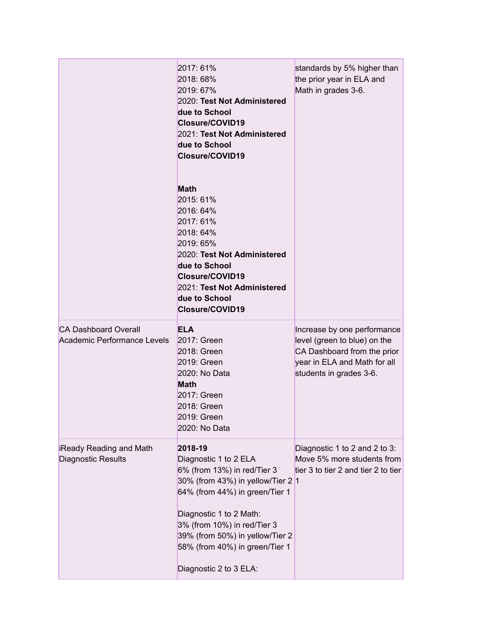|                                                            | 2017: 61%<br>2018: 68%<br>2019: 67%<br>2020: Test Not Administered<br>due to School<br>Closure/COVID19<br>2021: Test Not Administered<br>due to School<br>Closure/COVID19                                                                                                                       | standards by 5% higher than<br>the prior year in ELA and<br>Math in grades 3-6.                                                                       |
|------------------------------------------------------------|-------------------------------------------------------------------------------------------------------------------------------------------------------------------------------------------------------------------------------------------------------------------------------------------------|-------------------------------------------------------------------------------------------------------------------------------------------------------|
|                                                            | <b>Math</b><br>2015: 61%<br>2016: 64%<br>2017: 61%<br>2018: 64%<br>2019: 65%<br>2020: Test Not Administered<br>due to School<br>Closure/COVID19<br>2021: Test Not Administered<br>due to School<br>Closure/COVID19                                                                              |                                                                                                                                                       |
| <b>CA Dashboard Overall</b><br>Academic Performance Levels | <b>ELA</b><br>2017: Green<br>2018: Green<br>2019: Green<br>2020: No Data<br><b>Math</b><br>2017: Green<br>2018: Green<br>2019: Green<br>2020: No Data                                                                                                                                           | Increase by one performance<br>level (green to blue) on the<br>CA Dashboard from the prior<br>year in ELA and Math for all<br>students in grades 3-6. |
| iReady Reading and Math<br><b>Diagnostic Results</b>       | 2018-19<br>Diagnostic 1 to 2 ELA<br>6% (from 13%) in red/Tier 3<br>30% (from 43%) in yellow/Tier 2 1<br>64% (from 44%) in green/Tier 1<br>Diagnostic 1 to 2 Math:<br>3% (from 10%) in red/Tier 3<br>39% (from 50%) in yellow/Tier 2<br>58% (from 40%) in green/Tier 1<br>Diagnostic 2 to 3 ELA: | Diagnostic 1 to 2 and 2 to 3:<br>Move 5% more students from<br>tier 3 to tier 2 and tier 2 to tier                                                    |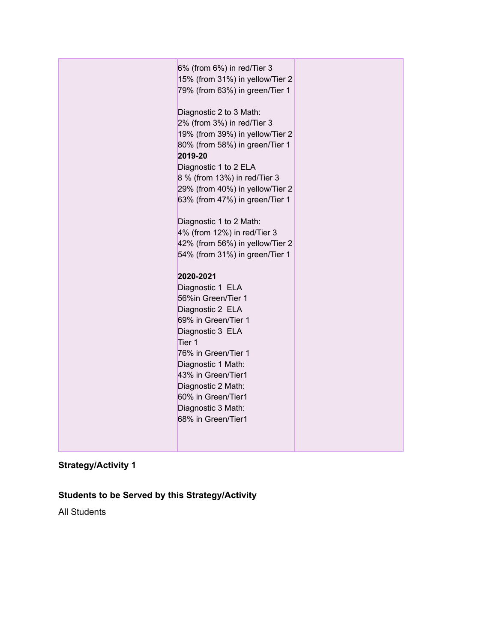| 6% (from 6%) in red/Tier 3      |  |
|---------------------------------|--|
| 15% (from 31%) in yellow/Tier 2 |  |
| 79% (from 63%) in green/Tier 1  |  |
|                                 |  |
| Diagnostic 2 to 3 Math:         |  |
| 2% (from 3%) in red/Tier 3      |  |
| 19% (from 39%) in yellow/Tier 2 |  |
| 80% (from 58%) in green/Tier 1  |  |
| 2019-20                         |  |
| Diagnostic 1 to 2 ELA           |  |
| 8 % (from 13%) in red/Tier 3    |  |
| 29% (from 40%) in yellow/Tier 2 |  |
| 63% (from 47%) in green/Tier 1  |  |
|                                 |  |
| Diagnostic 1 to 2 Math:         |  |
| 4% (from 12%) in red/Tier 3     |  |
| 42% (from 56%) in yellow/Tier 2 |  |
| 54% (from 31%) in green/Tier 1  |  |
| 2020-2021                       |  |
| Diagnostic 1 ELA                |  |
| 56%in Green/Tier 1              |  |
| Diagnostic 2 ELA                |  |
| 69% in Green/Tier 1             |  |
| Diagnostic 3 ELA                |  |
| Tier 1                          |  |
| 76% in Green/Tier 1             |  |
| Diagnostic 1 Math:              |  |
| 43% in Green/Tier1              |  |
| Diagnostic 2 Math:              |  |
| 60% in Green/Tier1              |  |
| Diagnostic 3 Math:              |  |
| 68% in Green/Tier1              |  |
|                                 |  |
|                                 |  |

### **Students to be Served by this Strategy/Activity**

All Students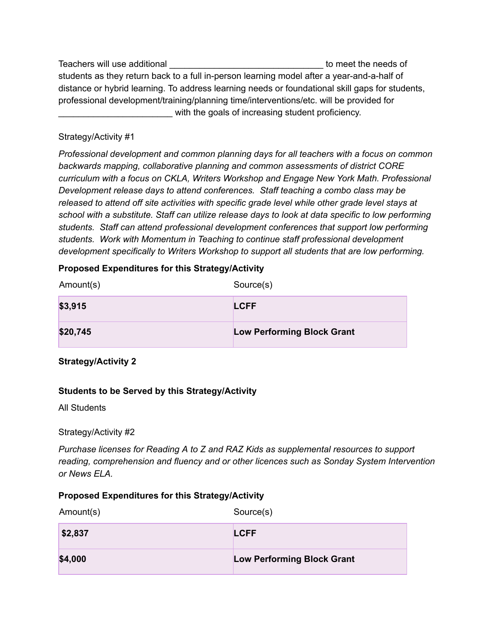Teachers will use additional \_\_\_\_\_\_\_\_\_\_\_\_\_\_\_\_\_\_\_\_\_\_\_\_\_\_\_\_\_\_\_ to meet the needs of students as they return back to a full in-person learning model after a year-and-a-half of distance or hybrid learning. To address learning needs or foundational skill gaps for students, professional development/training/planning time/interventions/etc. will be provided for with the goals of increasing student proficiency.

#### Strategy/Activity #1

*Professional development and common planning days for all teachers with a focus on common backwards mapping, collaborative planning and common assessments of district CORE curriculum with a focus on CKLA, Writers Workshop and Engage New York Math. Professional Development release days to attend conferences. Staff teaching a combo class may be released to attend off site activities with specific grade level while other grade level stays at school with a substitute. Staff can utilize release days to look at data specific to low performing students. Staff can attend professional development conferences that support low performing students. Work with Momentum in Teaching to continue staff professional development development specifically to Writers Workshop to support all students that are low performing.*

#### **Proposed Expenditures for this Strategy/Activity**

| Amount(s) | Source(s)                         |
|-----------|-----------------------------------|
| \$3,915   | <b>LCFF</b>                       |
| \$20,745  | <b>Low Performing Block Grant</b> |

#### **Strategy/Activity 2**

#### **Students to be Served by this Strategy/Activity**

All Students

#### Strategy/Activity #2

*Purchase licenses for Reading A to Z and RAZ Kids as supplemental resources to support reading, comprehension and fluency and or other licences such as Sonday System Intervention or News ELA.*

#### **Proposed Expenditures for this Strategy/Activity**

| Amount(s) | Source(s)                         |
|-----------|-----------------------------------|
| \$2,837   | <b>LCFF</b>                       |
| \$4,000   | <b>Low Performing Block Grant</b> |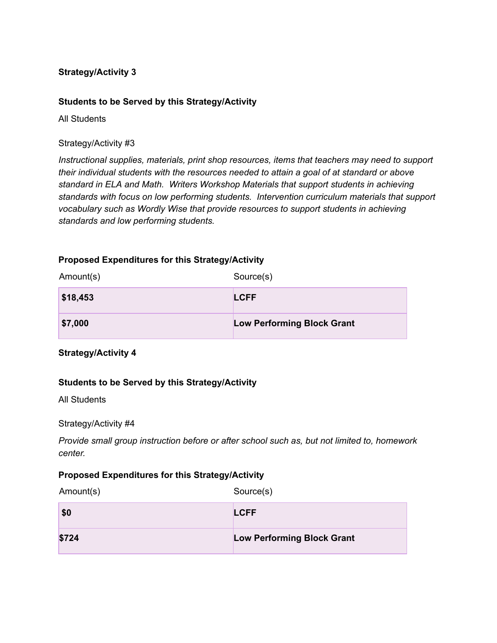#### **Students to be Served by this Strategy/Activity**

All Students

#### Strategy/Activity #3

*Instructional supplies, materials, print shop resources, items that teachers may need to support their individual students with the resources needed to attain a goal of at standard or above standard in ELA and Math. Writers Workshop Materials that support students in achieving standards with focus on low performing students. Intervention curriculum materials that support vocabulary such as Wordly Wise that provide resources to support students in achieving standards and low performing students.*

#### **Proposed Expenditures for this Strategy/Activity**

| Amount(s) | Source(s)                         |
|-----------|-----------------------------------|
| \$18,453  | <b>LCFF</b>                       |
| \$7,000   | <b>Low Performing Block Grant</b> |

**Strategy/Activity 4**

#### **Students to be Served by this Strategy/Activity**

All Students

#### Strategy/Activity #4

*Provide small group instruction before or after school such as, but not limited to, homework center.*

#### **Proposed Expenditures for this Strategy/Activity**

Amount(s) Source(s)

| \$0   | <b>LCFF</b>                       |
|-------|-----------------------------------|
| \$724 | <b>Low Performing Block Grant</b> |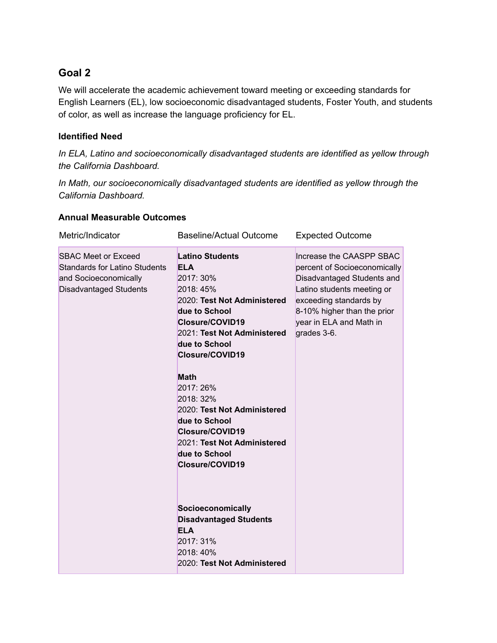#### **Goal 2**

We will accelerate the academic achievement toward meeting or exceeding standards for English Learners (EL), low socioeconomic disadvantaged students, Foster Youth, and students of color, as well as increase the language proficiency for EL.

#### **Identified Need**

*In ELA, Latino and socioeconomically disadvantaged students are identified as yellow through the California Dashboard.*

*In Math, our socioeconomically disadvantaged students are identified as yellow through the California Dashboard.*

| Metric/Indicator                                                                                                             | <b>Baseline/Actual Outcome</b>                                                                                                                                                                                                                                                                                                                                                                                                                                                                                   | <b>Expected Outcome</b>                                                                                                                                                                                                 |
|------------------------------------------------------------------------------------------------------------------------------|------------------------------------------------------------------------------------------------------------------------------------------------------------------------------------------------------------------------------------------------------------------------------------------------------------------------------------------------------------------------------------------------------------------------------------------------------------------------------------------------------------------|-------------------------------------------------------------------------------------------------------------------------------------------------------------------------------------------------------------------------|
| <b>SBAC Meet or Exceed</b><br><b>Standards for Latino Students</b><br>and Socioeconomically<br><b>Disadvantaged Students</b> | <b>Latino Students</b><br><b>ELA</b><br>2017: 30%<br>2018: 45%<br>2020: Test Not Administered<br>due to School<br>Closure/COVID19<br>2021: Test Not Administered<br>due to School<br>Closure/COVID19<br><b>Math</b><br>2017: 26%<br>2018: 32%<br>2020: Test Not Administered<br>due to School<br>Closure/COVID19<br>2021: Test Not Administered<br>due to School<br>Closure/COVID19<br>Socioeconomically<br><b>Disadvantaged Students</b><br><b>ELA</b><br>2017: 31%<br>2018: 40%<br>2020: Test Not Administered | Increase the CAASPP SBAC<br>percent of Socioeconomically<br>Disadvantaged Students and<br>Latino students meeting or<br>exceeding standards by<br>8-10% higher than the prior<br>year in ELA and Math in<br>grades 3-6. |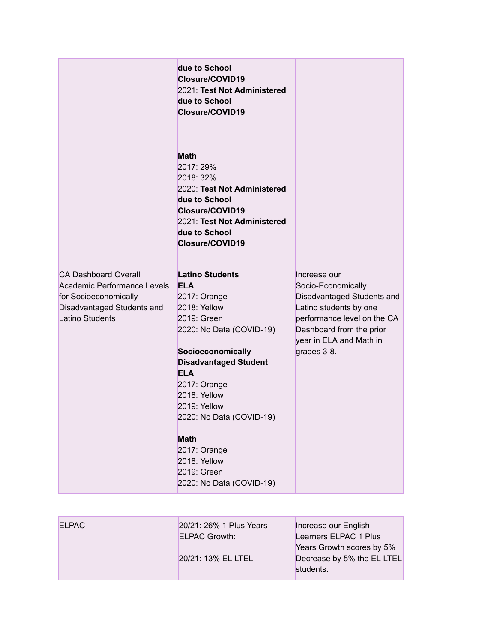|                                                                                                                                             | due to School<br>Closure/COVID19<br>2021: Test Not Administered<br>due to School<br>Closure/COVID19<br><b>Math</b><br>2017: 29%<br>2018: 32%<br>2020: Test Not Administered<br>due to School<br>Closure/COVID19<br>2021: Test Not Administered<br>due to School<br>Closure/COVID19                                                                       |                                                                                                                                                                                                 |
|---------------------------------------------------------------------------------------------------------------------------------------------|----------------------------------------------------------------------------------------------------------------------------------------------------------------------------------------------------------------------------------------------------------------------------------------------------------------------------------------------------------|-------------------------------------------------------------------------------------------------------------------------------------------------------------------------------------------------|
| <b>CA Dashboard Overall</b><br>Academic Performance Levels<br>for Socioeconomically<br>Disadvantaged Students and<br><b>Latino Students</b> | <b>Latino Students</b><br><b>ELA</b><br>2017: Orange<br>2018: Yellow<br>2019: Green<br>2020: No Data (COVID-19)<br>Socioeconomically<br><b>Disadvantaged Student</b><br><b>ELA</b><br>2017: Orange<br>2018: Yellow<br>2019: Yellow<br>2020: No Data (COVID-19)<br><b>Math</b><br>2017: Orange<br>2018: Yellow<br>2019: Green<br>2020: No Data (COVID-19) | Increase our<br>Socio-Economically<br>Disadvantaged Students and<br>Latino students by one<br>performance level on the CA<br>Dashboard from the prior<br>year in ELA and Math in<br>grades 3-8. |

| <b>ELPAC</b> | 20/21: 26% 1 Plus Years | Increase our English       |
|--------------|-------------------------|----------------------------|
|              | <b>ELPAC Growth:</b>    | Learners ELPAC 1 Plus      |
|              |                         | Years Growth scores by 5%  |
|              | 20/21: 13% EL LTEL      | Decrease by 5% the EL LTEL |
|              |                         | students.                  |
|              |                         |                            |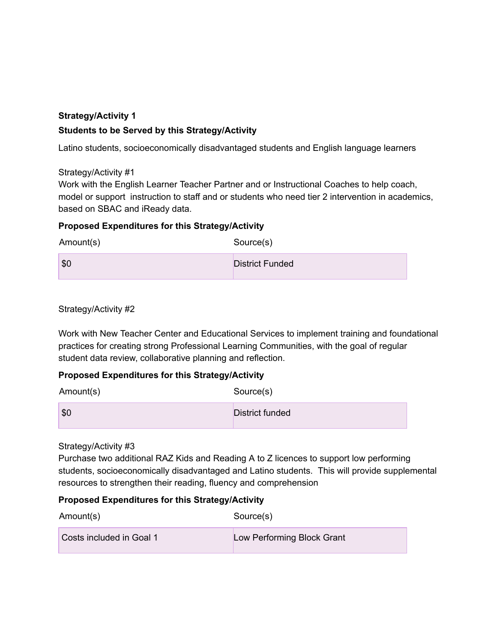#### **Strategy/Activity 1 Students to be Served by this Strategy/Activity**

Latino students, socioeconomically disadvantaged students and English language learners

Strategy/Activity #1

Work with the English Learner Teacher Partner and or Instructional Coaches to help coach, model or support instruction to staff and or students who need tier 2 intervention in academics, based on SBAC and iReady data.

#### **Proposed Expenditures for this Strategy/Activity**

Amount(s) Source(s)

**\$0** District Funded

Strategy/Activity #2

Work with New Teacher Center and Educational Services to implement training and foundational practices for creating strong Professional Learning Communities, with the goal of regular student data review, collaborative planning and reflection.

#### **Proposed Expenditures for this Strategy/Activity**

| Amount(s)   | Source(s)              |
|-------------|------------------------|
| $\vert$ \$0 | <b>District funded</b> |

#### Strategy/Activity #3

Purchase two additional RAZ Kids and Reading A to Z licences to support low performing students, socioeconomically disadvantaged and Latino students. This will provide supplemental resources to strengthen their reading, fluency and comprehension

#### **Proposed Expenditures for this Strategy/Activity**

| Amount(s)                | Source(s)                  |
|--------------------------|----------------------------|
| Costs included in Goal 1 | Low Performing Block Grant |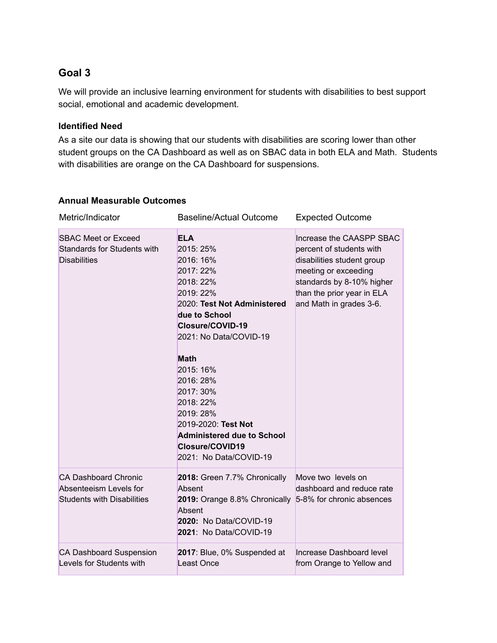#### **Goal 3**

We will provide an inclusive learning environment for students with disabilities to best support social, emotional and academic development.

#### **Identified Need**

As a site our data is showing that our students with disabilities are scoring lower than other student groups on the CA Dashboard as well as on SBAC data in both ELA and Math. Students with disabilities are orange on the CA Dashboard for suspensions.

| Metric/Indicator                                                                           | <b>Baseline/Actual Outcome</b>                                                                                                                                                                                                                                                                                                                                     | <b>Expected Outcome</b>                                                                                                                                                                          |
|--------------------------------------------------------------------------------------------|--------------------------------------------------------------------------------------------------------------------------------------------------------------------------------------------------------------------------------------------------------------------------------------------------------------------------------------------------------------------|--------------------------------------------------------------------------------------------------------------------------------------------------------------------------------------------------|
| <b>SBAC Meet or Exceed</b><br><b>Standards for Students with</b><br><b>Disabilities</b>    | <b>ELA</b><br>2015: 25%<br>2016: 16%<br>2017: 22%<br>2018: 22%<br>2019: 22%<br>2020: Test Not Administered<br>due to School<br>Closure/COVID-19<br>2021: No Data/COVID-19<br><b>Math</b><br>2015: 16%<br>2016: 28%<br>2017: 30%<br>2018: 22%<br>2019: 28%<br>2019-2020: Test Not<br><b>Administered due to School</b><br>Closure/COVID19<br>2021: No Data/COVID-19 | Increase the CAASPP SBAC<br>percent of students with<br>disabilities student group<br>meeting or exceeding<br>standards by 8-10% higher<br>than the prior year in ELA<br>and Math in grades 3-6. |
| <b>CA Dashboard Chronic</b><br>Absenteeism Levels for<br><b>Students with Disabilities</b> | 2018: Green 7.7% Chronically<br>Absent<br>2019: Orange 8.8% Chronically<br>Absent<br>2020: No Data/COVID-19<br>2021: No Data/COVID-19                                                                                                                                                                                                                              | Move two levels on<br>dashboard and reduce rate<br>5-8% for chronic absences                                                                                                                     |
| <b>CA Dashboard Suspension</b><br>Levels for Students with                                 | 2017: Blue, 0% Suspended at<br>Least Once                                                                                                                                                                                                                                                                                                                          | Increase Dashboard level<br>from Orange to Yellow and                                                                                                                                            |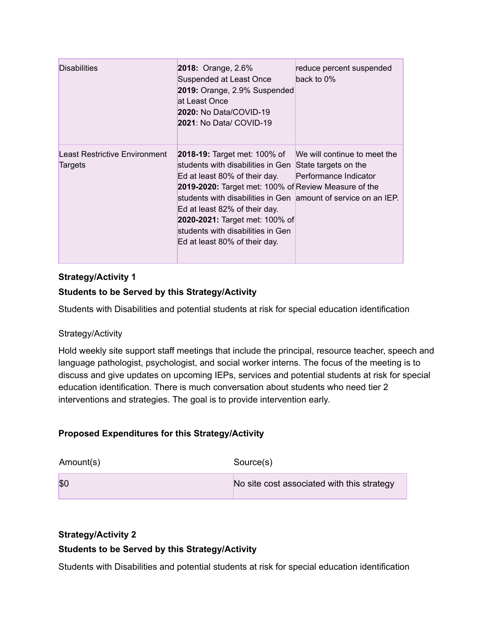| <b>Disabilities</b>                      | <b>2018: Orange, 2.6%</b><br><b>Suspended at Least Once</b><br>2019: Orange, 2.9% Suspended<br>at Least Once<br><b>2020: No Data/COVID-19</b><br><b>2021: No Data/ COVID-19</b>                                                                                                                                                                                              | reduce percent suspended<br>back to 0%                                        |
|------------------------------------------|------------------------------------------------------------------------------------------------------------------------------------------------------------------------------------------------------------------------------------------------------------------------------------------------------------------------------------------------------------------------------|-------------------------------------------------------------------------------|
| Least Restrictive Environment<br>Targets | <b>2018-19:</b> Target met: 100% of<br>students with disabilities in Gen<br>Ed at least 80% of their day.<br>2019-2020: Target met: 100% of Review Measure of the<br>students with disabilities in Gen amount of service on an IEP.<br>Ed at least 82% of their day.<br>2020-2021: Target met: 100% of<br>students with disabilities in Gen<br>Ed at least 80% of their day. | We will continue to meet the<br>State targets on the<br>Performance Indicator |

#### **Students to be Served by this Strategy/Activity**

Students with Disabilities and potential students at risk for special education identification

#### Strategy/Activity

Hold weekly site support staff meetings that include the principal, resource teacher, speech and language pathologist, psychologist, and social worker interns. The focus of the meeting is to discuss and give updates on upcoming IEPs, services and potential students at risk for special education identification. There is much conversation about students who need tier 2 interventions and strategies. The goal is to provide intervention early.

#### **Proposed Expenditures for this Strategy/Activity**

| Amount(s) | Source(s)                                  |
|-----------|--------------------------------------------|
| \$0       | No site cost associated with this strategy |

#### **Strategy/Activity 2**

#### **Students to be Served by this Strategy/Activity**

Students with Disabilities and potential students at risk for special education identification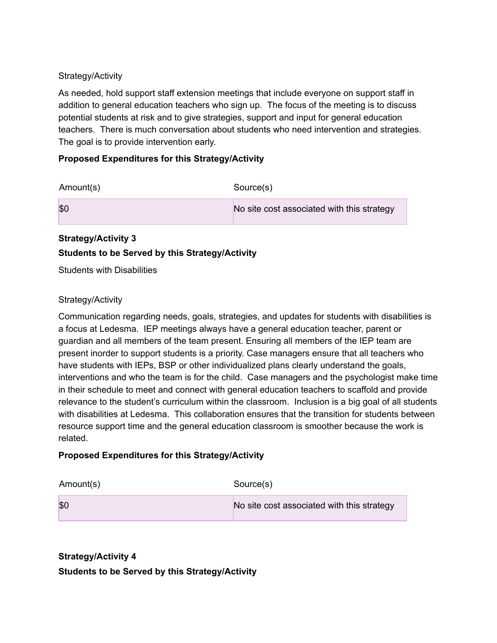As needed, hold support staff extension meetings that include everyone on support staff in addition to general education teachers who sign up. The focus of the meeting is to discuss potential students at risk and to give strategies, support and input for general education teachers. There is much conversation about students who need intervention and strategies. The goal is to provide intervention early.

#### **Proposed Expenditures for this Strategy/Activity**

| Amount(s) | Source(s)                                  |
|-----------|--------------------------------------------|
| \$0       | No site cost associated with this strategy |

#### **Strategy/Activity 3**

#### **Students to be Served by this Strategy/Activity**

Students with Disabilities

#### Strategy/Activity

Communication regarding needs, goals, strategies, and updates for students with disabilities is a focus at Ledesma. IEP meetings always have a general education teacher, parent or guardian and all members of the team present. Ensuring all members of the IEP team are present inorder to support students is a priority. Case managers ensure that all teachers who have students with IEPs, BSP or other individualized plans clearly understand the goals, interventions and who the team is for the child. Case managers and the psychologist make time in their schedule to meet and connect with general education teachers to scaffold and provide relevance to the student's curriculum within the classroom. Inclusion is a big goal of all students with disabilities at Ledesma. This collaboration ensures that the transition for students between resource support time and the general education classroom is smoother because the work is related.

#### **Proposed Expenditures for this Strategy/Activity**

| Amount(s) | Source(s)                                  |
|-----------|--------------------------------------------|
| \$0       | No site cost associated with this strategy |

#### **Strategy/Activity 4 Students to be Served by this Strategy/Activity**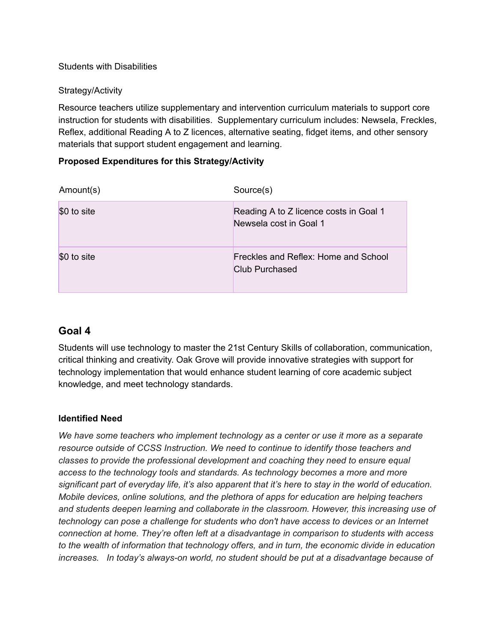#### Students with Disabilities

#### Strategy/Activity

Resource teachers utilize supplementary and intervention curriculum materials to support core instruction for students with disabilities. Supplementary curriculum includes: Newsela, Freckles, Reflex, additional Reading A to Z licences, alternative seating, fidget items, and other sensory materials that support student engagement and learning.

#### **Proposed Expenditures for this Strategy/Activity**

| Amount(s)   | Source(s)                                                        |
|-------------|------------------------------------------------------------------|
| \$0 to site | Reading A to Z licence costs in Goal 1<br>Newsela cost in Goal 1 |
| \$0 to site | Freckles and Reflex: Home and School<br>Club Purchased           |

#### **Goal 4**

Students will use technology to master the 21st Century Skills of collaboration, communication, critical thinking and creativity. Oak Grove will provide innovative strategies with support for technology implementation that would enhance student learning of core academic subject knowledge, and meet technology standards.

#### **Identified Need**

*We have some teachers who implement technology as a center or use it more as a separate resource outside of CCSS Instruction. We need to continue to identify those teachers and classes to provide the professional development and coaching they need to ensure equal access to the technology tools and standards. As technology becomes a more and more* significant part of everyday life, it's also apparent that it's here to stay in the world of education. *Mobile devices, online solutions, and the plethora of apps for education are helping teachers and students deepen learning and collaborate in the classroom. However, this increasing use of technology can pose a challenge for students who don't have access to devices or an Internet connection at home. They're often left at a disadvantage in comparison to students with access to the wealth of information that technology offers, and in turn, the economic divide in education increases. In today's always-on world, no student should be put at a disadvantage because of*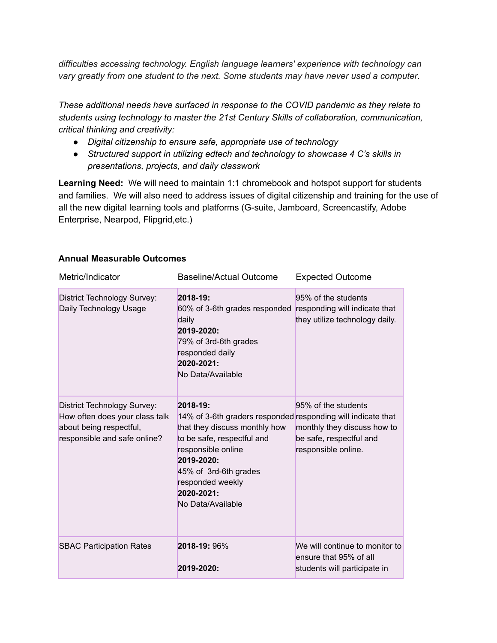*difficulties accessing technology. English language learners' experience with technology can vary greatly from one student to the next. Some students may have never used a computer.*

*These additional needs have surfaced in response to the COVID pandemic as they relate to students using technology to master the 21st Century Skills of collaboration, communication, critical thinking and creativity:*

- *● Digital citizenship to ensure safe, appropriate use of technology*
- *● Structured support in utilizing edtech and technology to showcase 4 C's skills in presentations, projects, and daily classwork*

**Learning Need:** We will need to maintain 1:1 chromebook and hotspot support for students and families. We will also need to address issues of digital citizenship and training for the use of all the new digital learning tools and platforms (G-suite, Jamboard, Screencastify, Adobe Enterprise, Nearpod, Flipgrid,etc.)

| Metric/Indicator                                                                                                         | <b>Baseline/Actual Outcome</b>                                                                                                                                                                                                                              | <b>Expected Outcome</b>                                                                              |
|--------------------------------------------------------------------------------------------------------------------------|-------------------------------------------------------------------------------------------------------------------------------------------------------------------------------------------------------------------------------------------------------------|------------------------------------------------------------------------------------------------------|
| <b>District Technology Survey:</b><br>Daily Technology Usage                                                             | 2018-19:<br>60% of 3-6th grades responded<br>daily<br>2019-2020:<br>79% of 3rd-6th grades<br>responded daily<br>2020-2021:<br>No Data/Available                                                                                                             | 95% of the students<br>responding will indicate that<br>they utilize technology daily.               |
| District Technology Survey:<br>How often does your class talk<br>about being respectful,<br>responsible and safe online? | 2018-19:<br>14% of 3-6th graders responded responding will indicate that<br>that they discuss monthly how<br>to be safe, respectful and<br>responsible online<br>2019-2020:<br>45% of 3rd-6th grades<br>responded weekly<br>2020-2021:<br>No Data/Available | 95% of the students<br>monthly they discuss how to<br>be safe, respectful and<br>responsible online. |
| <b>SBAC Participation Rates</b>                                                                                          | 2018-19: 96%<br>2019-2020:                                                                                                                                                                                                                                  | We will continue to monitor to<br>ensure that 95% of all<br>students will participate in             |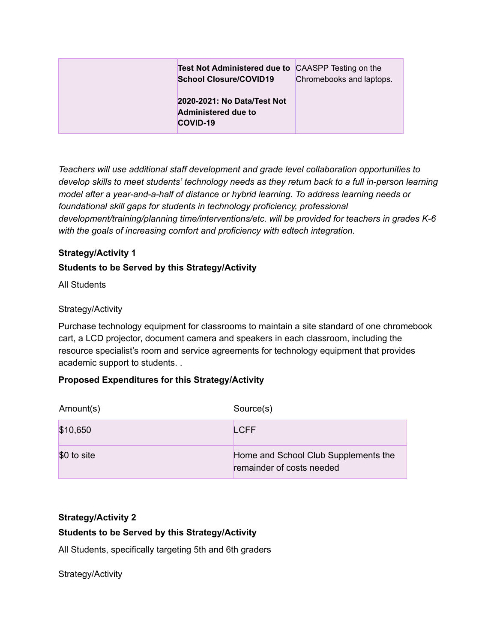| <b>Test Not Administered due to CAASPP Testing on the</b><br><b>School Closure/COVID19</b> | Chromebooks and laptops. |
|--------------------------------------------------------------------------------------------|--------------------------|
| 2020-2021: No Data/Test Not<br><b>Administered due to</b><br>COVID-19                      |                          |

*Teachers will use additional staff development and grade level collaboration opportunities to develop skills to meet students' technology needs as they return back to a full in-person learning model after a year-and-a-half of distance or hybrid learning. To address learning needs or foundational skill gaps for students in technology proficiency, professional development/training/planning time/interventions/etc. will be provided for teachers in grades K-6 with the goals of increasing comfort and proficiency with edtech integration.*

#### **Strategy/Activity 1**

#### **Students to be Served by this Strategy/Activity**

All Students

#### Strategy/Activity

Purchase technology equipment for classrooms to maintain a site standard of one chromebook cart, a LCD projector, document camera and speakers in each classroom, including the resource specialist's room and service agreements for technology equipment that provides academic support to students. .

#### **Proposed Expenditures for this Strategy/Activity**

| Amount(s)   | Source(s)                                                         |
|-------------|-------------------------------------------------------------------|
| \$10,650    | <b>LCFF</b>                                                       |
| \$0 to site | Home and School Club Supplements the<br>remainder of costs needed |

#### **Strategy/Activity 2**

#### **Students to be Served by this Strategy/Activity**

All Students, specifically targeting 5th and 6th graders

Strategy/Activity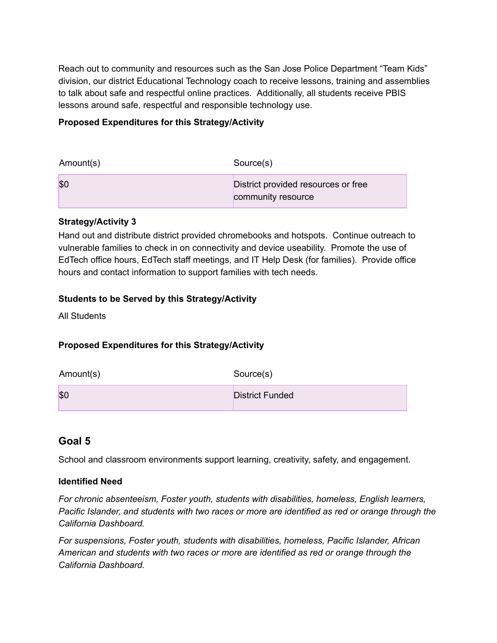Reach out to community and resources such as the San Jose Police Department "Team Kids" division, our district Educational Technology coach to receive lessons, training and assemblies to talk about safe and respectful online practices. Additionally, all students receive PBIS lessons around safe, respectful and responsible technology use.

#### **Proposed Expenditures for this Strategy/Activity**

| Amount(s) | Source(s)                                                 |
|-----------|-----------------------------------------------------------|
| \$C       | District provided resources or free<br>community resource |

#### **Strategy/Activity 3**

Hand out and distribute district provided chromebooks and hotspots. Continue outreach to vulnerable families to check in on connectivity and device useability. Promote the use of EdTech office hours, EdTech staff meetings, and IT Help Desk (for families). Provide office hours and contact information to support families with tech needs.

#### **Students to be Served by this Strategy/Activity**

All Students

#### **Proposed Expenditures for this Strategy/Activity**

| Amount(s) | Source(s)              |
|-----------|------------------------|
| \$0       | <b>District Funded</b> |

#### **Goal 5**

School and classroom environments support learning, creativity, safety, and engagement.

#### **Identified Need**

*For chronic absenteeism, Foster youth, students with disabilities, homeless, English learners, Pacific Islander, and students with two races or more are identified as red or orange through the California Dashboard.*

*For suspensions, Foster youth, students with disabilities, homeless, Pacific Islander, African American and students with two races or more are identified as red or orange through the California Dashboard.*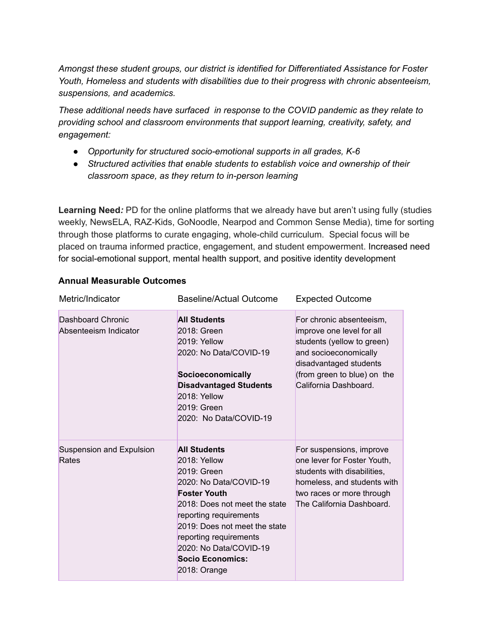*Amongst these student groups, our district is identified for Differentiated Assistance for Foster Youth, Homeless and students with disabilities due to their progress with chronic absenteeism, suspensions, and academics.*

*These additional needs have surfaced in response to the COVID pandemic as they relate to providing school and classroom environments that support learning, creativity, safety, and engagement:*

- *● Opportunity for structured socio-emotional supports in all grades, K-6*
- *● Structured activities that enable students to establish voice and ownership of their classroom space, as they return to in-person learning*

**Learning Need***:* PD for the online platforms that we already have but aren't using fully (studies weekly, NewsELA, RAZ-Kids, GoNoodle, Nearpod and Common Sense Media), time for sorting through those platforms to curate engaging, whole-child curriculum. Special focus will be placed on trauma informed practice, engagement, and student empowerment. Increased need for social-emotional support, mental health support, and positive identity development

| Metric/Indicator                           | <b>Baseline/Actual Outcome</b>                                                                                                                                                                                                                                                            | <b>Expected Outcome</b>                                                                                                                                                                        |
|--------------------------------------------|-------------------------------------------------------------------------------------------------------------------------------------------------------------------------------------------------------------------------------------------------------------------------------------------|------------------------------------------------------------------------------------------------------------------------------------------------------------------------------------------------|
| Dashboard Chronic<br>Absenteeism Indicator | <b>All Students</b><br>2018: Green<br>$2019:$ Yellow<br>2020: No Data/COVID-19<br>Socioeconomically<br><b>Disadvantaged Students</b><br>2018: Yellow<br>2019: Green<br>2020: No Data/COVID-19                                                                                             | For chronic absenteeism,<br>improve one level for all<br>students (yellow to green)<br>and socioeconomically<br>disadvantaged students<br>(from green to blue) on the<br>California Dashboard. |
| Suspension and Expulsion<br>Rates          | <b>All Students</b><br>2018: Yellow<br>$2019:$ Green<br>2020: No Data/COVID-19<br><b>Foster Youth</b><br>2018: Does not meet the state<br>reporting requirements<br>2019: Does not meet the state<br>reporting requirements<br>2020: No Data/COVID-19<br>Socio Economics:<br>2018: Orange | For suspensions, improve<br>one lever for Foster Youth,<br>students with disabilities,<br>homeless, and students with<br>two races or more through<br>The California Dashboard.                |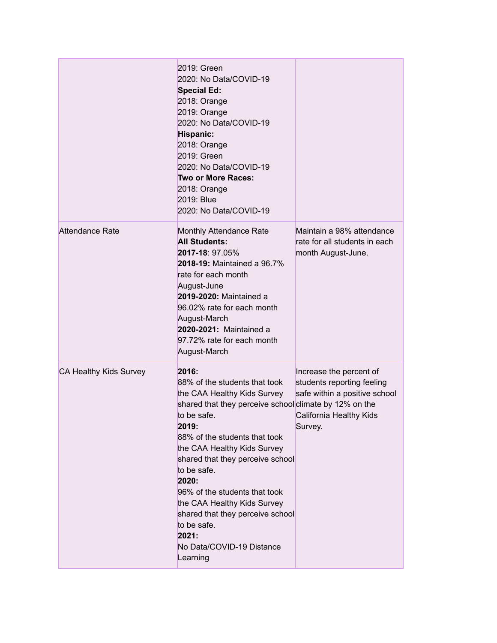|                        | 2019: Green<br>2020: No Data/COVID-19<br><b>Special Ed:</b><br>2018: Orange<br>2019: Orange<br>2020: No Data/COVID-19<br>Hispanic:<br>2018: Orange<br>2019: Green<br>2020: No Data/COVID-19<br>Two or More Races:<br>2018: Orange<br>2019: Blue<br>2020: No Data/COVID-19                                                                                                                                                                                |                                                                                                                              |
|------------------------|----------------------------------------------------------------------------------------------------------------------------------------------------------------------------------------------------------------------------------------------------------------------------------------------------------------------------------------------------------------------------------------------------------------------------------------------------------|------------------------------------------------------------------------------------------------------------------------------|
| <b>Attendance Rate</b> | <b>Monthly Attendance Rate</b><br><b>All Students:</b><br>2017-18: 97.05%<br>2018-19: Maintained a 96.7%<br>rate for each month<br>August-June<br>2019-2020: Maintained a<br>96.02% rate for each month<br>August-March<br>2020-2021: Maintained a<br>97.72% rate for each month<br>August-March                                                                                                                                                         | Maintain a 98% attendance<br>rate for all students in each<br>month August-June.                                             |
| CA Healthy Kids Survey | 2016:<br>88% of the students that took<br>the CAA Healthy Kids Survey<br>shared that they perceive school climate by 12% on the<br>to be safe.<br>2019:<br>88% of the students that took<br>the CAA Healthy Kids Survey<br>shared that they perceive school<br>to be safe.<br>2020:<br>96% of the students that took<br>the CAA Healthy Kids Survey<br>shared that they perceive school<br>to be safe.<br>2021:<br>No Data/COVID-19 Distance<br>Learning | Increase the percent of<br>students reporting feeling<br>safe within a positive school<br>California Healthy Kids<br>Survey. |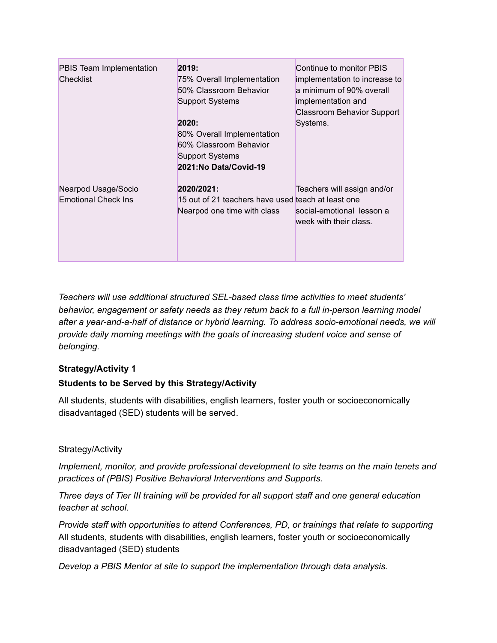| PBIS Team Implementation<br><b>Checklist</b> | 2019:<br>75% Overall Implementation<br>50% Classroom Behavior<br><b>Support Systems</b> | Continue to monitor PBIS<br>implementation to increase to<br>a minimum of 90% overall<br>implementation and<br><b>Classroom Behavior Support</b> |
|----------------------------------------------|-----------------------------------------------------------------------------------------|--------------------------------------------------------------------------------------------------------------------------------------------------|
|                                              | 2020:                                                                                   | Systems.                                                                                                                                         |
|                                              | 80% Overall Implementation                                                              |                                                                                                                                                  |
|                                              | 60% Classroom Behavior                                                                  |                                                                                                                                                  |
|                                              | <b>Support Systems</b>                                                                  |                                                                                                                                                  |
|                                              | 2021:No Data/Covid-19                                                                   |                                                                                                                                                  |
| Nearpod Usage/Socio                          | 2020/2021:                                                                              | Teachers will assign and/or                                                                                                                      |
| <b>Emotional Check Ins</b>                   | 15 out of 21 teachers have used teach at least one                                      |                                                                                                                                                  |
|                                              | Nearpod one time with class                                                             | social-emotional lesson a                                                                                                                        |
|                                              |                                                                                         | week with their class.                                                                                                                           |
|                                              |                                                                                         |                                                                                                                                                  |
|                                              |                                                                                         |                                                                                                                                                  |
|                                              |                                                                                         |                                                                                                                                                  |

*Teachers will use additional structured SEL-based class time activities to meet students' behavior, engagement or safety needs as they return back to a full in-person learning model after a year-and-a-half of distance or hybrid learning. To address socio-emotional needs, we will provide daily morning meetings with the goals of increasing student voice and sense of belonging.*

#### **Strategy/Activity 1**

#### **Students to be Served by this Strategy/Activity**

All students, students with disabilities, english learners, foster youth or socioeconomically disadvantaged (SED) students will be served.

#### Strategy/Activity

*Implement, monitor, and provide professional development to site teams on the main tenets and practices of (PBIS) Positive Behavioral Interventions and Supports.*

*Three days of Tier III training will be provided for all support staff and one general education teacher at school.*

*Provide staff with opportunities to attend Conferences, PD, or trainings that relate to supporting* All students, students with disabilities, english learners, foster youth or socioeconomically disadvantaged (SED) students

*Develop a PBIS Mentor at site to support the implementation through data analysis.*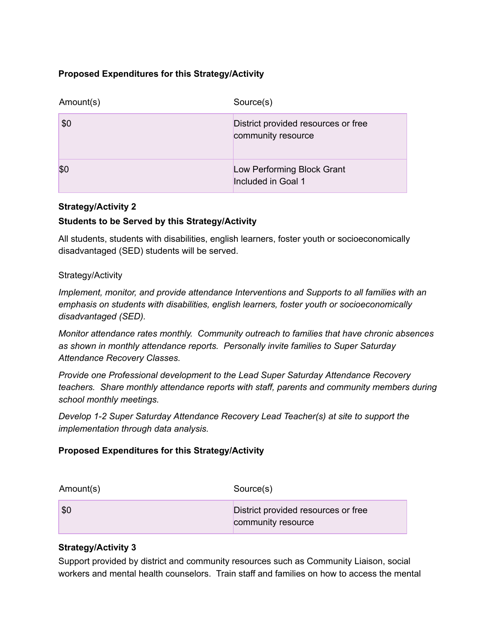#### **Proposed Expenditures for this Strategy/Activity**

| Amount(s) | Source(s)                                                 |
|-----------|-----------------------------------------------------------|
| \$0       | District provided resources or free<br>community resource |
| \$0       | Low Performing Block Grant<br>Included in Goal 1          |

#### **Strategy/Activity 2**

#### **Students to be Served by this Strategy/Activity**

All students, students with disabilities, english learners, foster youth or socioeconomically disadvantaged (SED) students will be served.

#### Strategy/Activity

*Implement, monitor, and provide attendance Interventions and Supports to all families with an emphasis on students with disabilities, english learners, foster youth or socioeconomically disadvantaged (SED).*

*Monitor attendance rates monthly. Community outreach to families that have chronic absences as shown in monthly attendance reports. Personally invite families to Super Saturday Attendance Recovery Classes.*

*Provide one Professional development to the Lead Super Saturday Attendance Recovery teachers. Share monthly attendance reports with staff, parents and community members during school monthly meetings.*

*Develop 1-2 Super Saturday Attendance Recovery Lead Teacher(s) at site to support the implementation through data analysis.*

#### **Proposed Expenditures for this Strategy/Activity**

| Amount(s) | Source(s)                                                 |
|-----------|-----------------------------------------------------------|
| \$0       | District provided resources or free<br>community resource |

#### **Strategy/Activity 3**

Support provided by district and community resources such as Community Liaison, social workers and mental health counselors. Train staff and families on how to access the mental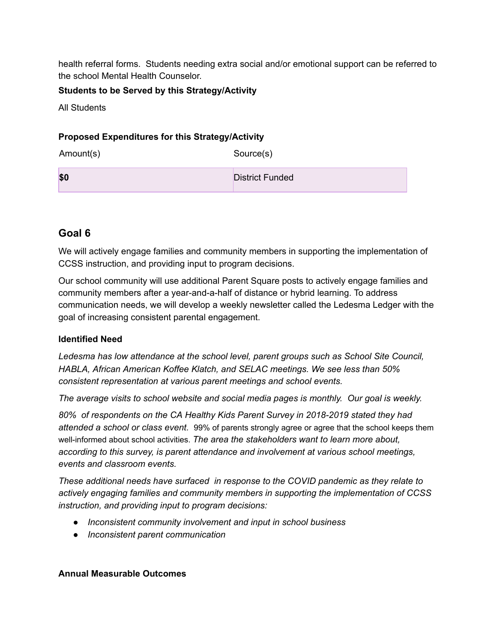health referral forms. Students needing extra social and/or emotional support can be referred to the school Mental Health Counselor.

#### **Students to be Served by this Strategy/Activity**

All Students

#### **Proposed Expenditures for this Strategy/Activity**

Amount(s) Source(s)

**\$0** District Funded

#### **Goal 6**

We will actively engage families and community members in supporting the implementation of CCSS instruction, and providing input to program decisions.

Our school community will use additional Parent Square posts to actively engage families and community members after a year-and-a-half of distance or hybrid learning. To address communication needs, we will develop a weekly newsletter called the Ledesma Ledger with the goal of increasing consistent parental engagement.

#### **Identified Need**

*Ledesma has low attendance at the school level, parent groups such as School Site Council, HABLA, African American Koffee Klatch, and SELAC meetings. We see less than 50% consistent representation at various parent meetings and school events.*

*The average visits to school website and social media pages is monthly. Our goal is weekly.*

*80% of respondents on the CA Healthy Kids Parent Survey in 2018-2019 stated they had attended a school or class event.* 99% of parents strongly agree or agree that the school keeps them well-informed about school activities. *The area the stakeholders want to learn more about, according to this survey, is parent attendance and involvement at various school meetings, events and classroom events.*

*These additional needs have surfaced in response to the COVID pandemic as they relate to actively engaging families and community members in supporting the implementation of CCSS instruction, and providing input to program decisions:*

- *● Inconsistent community involvement and input in school business*
- *● Inconsistent parent communication*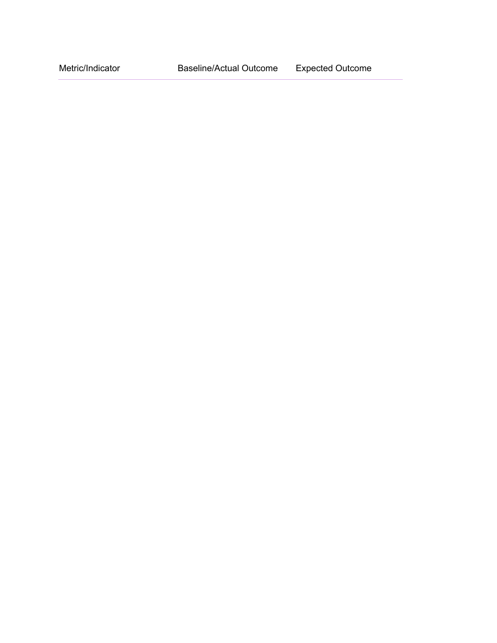Metric/Indicator Baseline/Actual Outcome Expected Outcome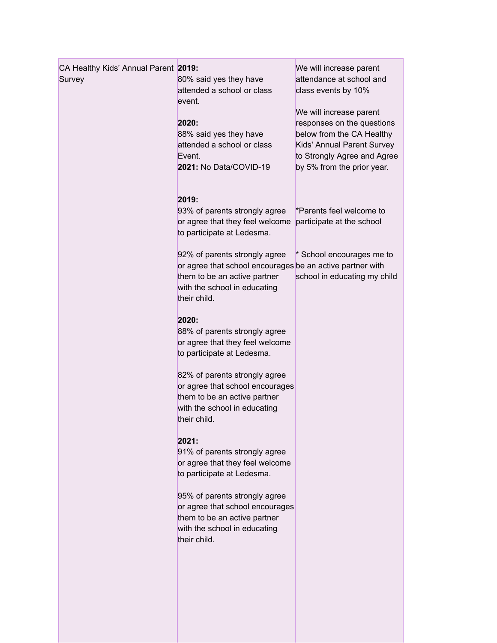| CA Healthy Kids' Annual Parent 2019:<br>Survey | 80% said yes they have<br>attended a school or class<br>event.<br>2020:<br>88% said yes they have<br>attended a school or class<br>Event.                                  | We will increase parent<br>attendance at school and<br>class events by 10%<br>We will increase parent<br>responses on the questions<br>below from the CA Healthy<br>Kids' Annual Parent Survey<br>to Strongly Agree and Agree |
|------------------------------------------------|----------------------------------------------------------------------------------------------------------------------------------------------------------------------------|-------------------------------------------------------------------------------------------------------------------------------------------------------------------------------------------------------------------------------|
|                                                | 2021: No Data/COVID-19<br>2019:<br>93% of parents strongly agree<br>or agree that they feel welcome<br>to participate at Ledesma.                                          | by 5% from the prior year.<br>*Parents feel welcome to<br>participate at the school                                                                                                                                           |
|                                                | 92% of parents strongly agree<br>or agree that school encourages be an active partner with<br>them to be an active partner<br>with the school in educating<br>their child. | * School encourages me to<br>school in educating my child                                                                                                                                                                     |
|                                                | 2020:<br>88% of parents strongly agree<br>or agree that they feel welcome<br>to participate at Ledesma.                                                                    |                                                                                                                                                                                                                               |
|                                                | 82% of parents strongly agree<br>or agree that school encourages<br>them to be an active partner<br>with the school in educating<br>their child.                           |                                                                                                                                                                                                                               |
|                                                | 2021:<br>91% of parents strongly agree<br>or agree that they feel welcome<br>to participate at Ledesma.                                                                    |                                                                                                                                                                                                                               |
|                                                | 95% of parents strongly agree<br>or agree that school encourages<br>them to be an active partner<br>with the school in educating<br>their child.                           |                                                                                                                                                                                                                               |
|                                                |                                                                                                                                                                            |                                                                                                                                                                                                                               |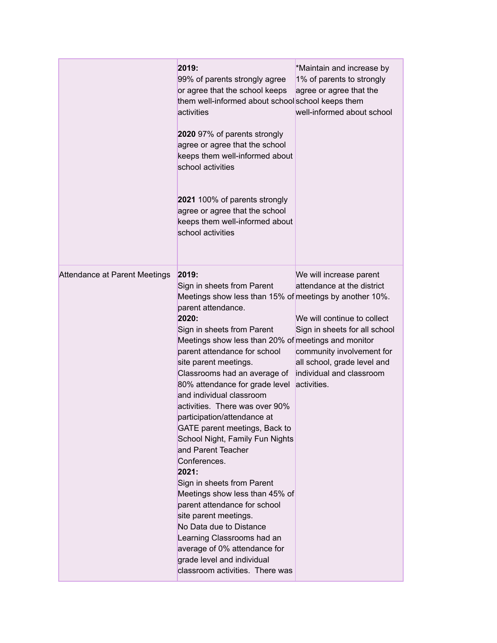|                               | 2019:<br>99% of parents strongly agree<br>or agree that the school keeps<br>them well-informed about school school keeps them<br>activities<br>2020 97% of parents strongly<br>agree or agree that the school<br>keeps them well-informed about<br>school activities<br>2021 100% of parents strongly<br>agree or agree that the school<br>keeps them well-informed about<br>school activities                                                                                                                                                                                                                                                                                                                                                                                                                                                   | *Maintain and increase by<br>1% of parents to strongly<br>agree or agree that the<br>well-informed about school                                                                                                              |
|-------------------------------|--------------------------------------------------------------------------------------------------------------------------------------------------------------------------------------------------------------------------------------------------------------------------------------------------------------------------------------------------------------------------------------------------------------------------------------------------------------------------------------------------------------------------------------------------------------------------------------------------------------------------------------------------------------------------------------------------------------------------------------------------------------------------------------------------------------------------------------------------|------------------------------------------------------------------------------------------------------------------------------------------------------------------------------------------------------------------------------|
| Attendance at Parent Meetings | 2019:<br>Sign in sheets from Parent<br>Meetings show less than 15% of meetings by another 10%.<br>parent attendance.<br>2020:<br>Sign in sheets from Parent<br>Meetings show less than 20% of meetings and monitor<br>parent attendance for school<br>site parent meetings.<br>Classrooms had an average of<br>80% attendance for grade level<br>and individual classroom<br>activities. There was over 90%<br>participation/attendance at<br>GATE parent meetings, Back to<br>School Night, Family Fun Nights<br>and Parent Teacher<br>Conferences.<br>2021:<br>Sign in sheets from Parent<br>Meetings show less than 45% of<br>parent attendance for school<br>site parent meetings.<br>No Data due to Distance<br>Learning Classrooms had an<br>average of 0% attendance for<br>grade level and individual<br>classroom activities. There was | We will increase parent<br>attendance at the district<br>We will continue to collect<br>Sign in sheets for all school<br>community involvement for<br>all school, grade level and<br>individual and classroom<br>activities. |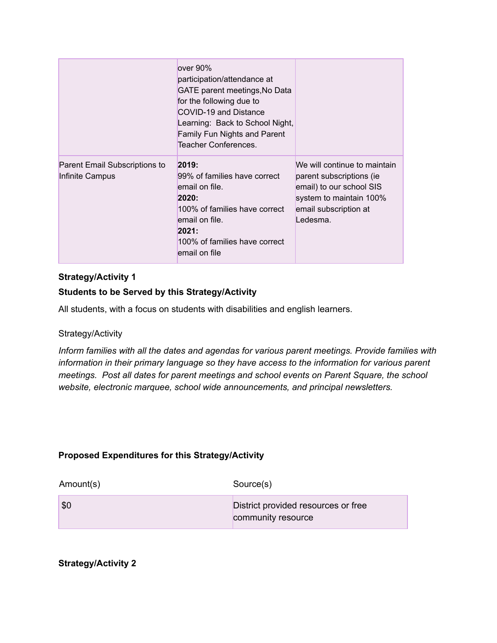|                                                  | over 90%<br>participation/attendance at<br>GATE parent meetings, No Data<br>for the following due to<br>COVID-19 and Distance<br>Learning: Back to School Night,<br><b>Family Fun Nights and Parent</b><br><b>Teacher Conferences.</b> |                                                                                                                                                      |
|--------------------------------------------------|----------------------------------------------------------------------------------------------------------------------------------------------------------------------------------------------------------------------------------------|------------------------------------------------------------------------------------------------------------------------------------------------------|
| Parent Email Subscriptions to<br>Infinite Campus | 2019:<br>99% of families have correct<br>email on file.<br>2020:<br>100% of families have correct<br>email on file.<br>2021:<br>100% of families have correct<br>email on file                                                         | We will continue to maintain<br>parent subscriptions (ie<br>email) to our school SIS<br>system to maintain 100%<br>email subscription at<br>Ledesma. |

#### **Students to be Served by this Strategy/Activity**

All students, with a focus on students with disabilities and english learners.

#### Strategy/Activity

*Inform families with all the dates and agendas for various parent meetings. Provide families with information in their primary language so they have access to the information for various parent meetings. Post all dates for parent meetings and school events on Parent Square, the school website, electronic marquee, school wide announcements, and principal newsletters.*

#### **Proposed Expenditures for this Strategy/Activity**

| Amount(s) | Source(s)                                                 |
|-----------|-----------------------------------------------------------|
| \$0       | District provided resources or free<br>community resource |

**Strategy/Activity 2**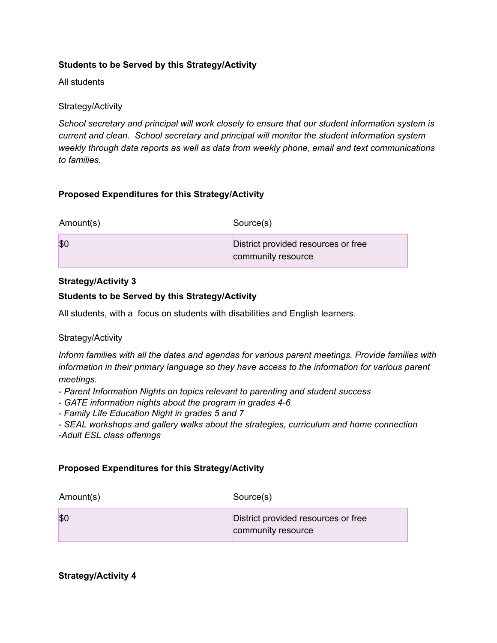#### **Students to be Served by this Strategy/Activity**

All students

#### Strategy/Activity

*School secretary and principal will work closely to ensure that our student information system is current and clean. School secretary and principal will monitor the student information system weekly through data reports as well as data from weekly phone, email and text communications to families.*

#### **Proposed Expenditures for this Strategy/Activity**

| Amount(s) | Source(s)                                                 |
|-----------|-----------------------------------------------------------|
| \$C       | District provided resources or free<br>community resource |

#### **Strategy/Activity 3**

#### **Students to be Served by this Strategy/Activity**

All students, with a focus on students with disabilities and English learners.

#### Strategy/Activity

*Inform families with all the dates and agendas for various parent meetings. Provide families with information in their primary language so they have access to the information for various parent meetings.*

- *- Parent Information Nights on topics relevant to parenting and student success*
- *- GATE information nights about the program in grades 4-6*
- *- Family Life Education Night in grades 5 and 7*

*- SEAL workshops and gallery walks about the strategies, curriculum and home connection -Adult ESL class offerings*

#### **Proposed Expenditures for this Strategy/Activity**

| Amount(s) | Source(s)                                                 |
|-----------|-----------------------------------------------------------|
| \$C       | District provided resources or free<br>community resource |

**Strategy/Activity 4**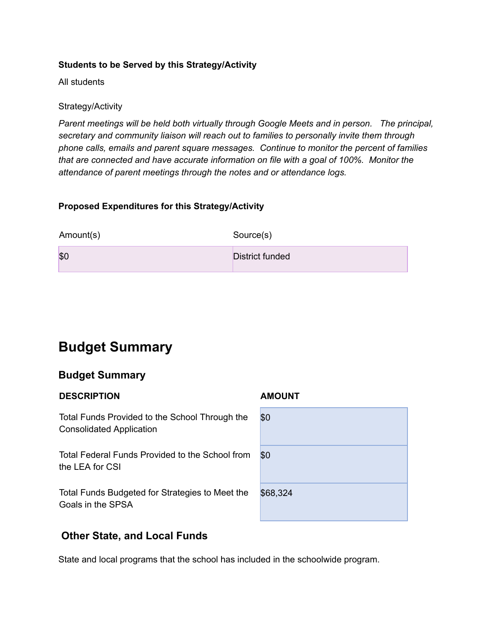#### **Students to be Served by this Strategy/Activity**

All students

#### Strategy/Activity

*Parent meetings will be held both virtually through Google Meets and in person. The principal, secretary and community liaison will reach out to families to personally invite them through phone calls, emails and parent square messages. Continue to monitor the percent of families that are connected and have accurate information on file with a goal of 100%. Monitor the attendance of parent meetings through the notes and or attendance logs.*

#### **Proposed Expenditures for this Strategy/Activity**

| Amount(s) | Source(s)       |
|-----------|-----------------|
| \$0       | District funded |

### **Budget Summary**

#### **Budget Summary**

#### **DESCRIPTION AMOUNT**

Total Funds Provided to the School Through the Consolidated Application

Total Federal Funds Provided to the School from the LEA for CSI

Total Funds Budgeted for Strategies to Meet the Goals in the SPSA

#### **Other State, and Local Funds**

State and local programs that the school has included in the schoolwide program.

| \$0      |  |  |
|----------|--|--|
| \$0      |  |  |
| \$68,324 |  |  |